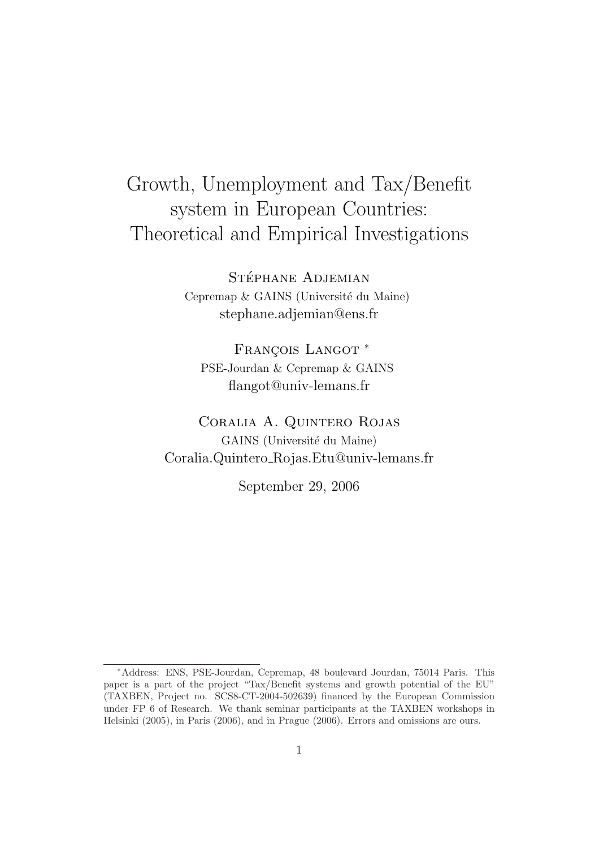# Growth, Unemployment and Tax/Benefit system in European Countries: Theoretical and Empirical Investigations

STÉPHANE ADJEMIAN Cepremap & GAINS (Université du Maine) stephane.adjemian@ens.fr

FRANCOIS LANGOT<sup>\*</sup> PSE-Jourdan & Cepremap & GAINS flangot@univ-lemans.fr

Coralia A. Quintero Rojas GAINS (Université du Maine) Coralia.Quintero Rojas.Etu@univ-lemans.fr

September 29, 2006

<sup>∗</sup>Address: ENS, PSE-Jourdan, Cepremap, 48 boulevard Jourdan, 75014 Paris. This paper is a part of the project "Tax/Benefit systems and growth potential of the EU" (TAXBEN, Project no. SCS8-CT-2004-502639) financed by the European Commission under FP 6 of Research. We thank seminar participants at the TAXBEN workshops in Helsinki (2005), in Paris (2006), and in Prague (2006). Errors and omissions are ours.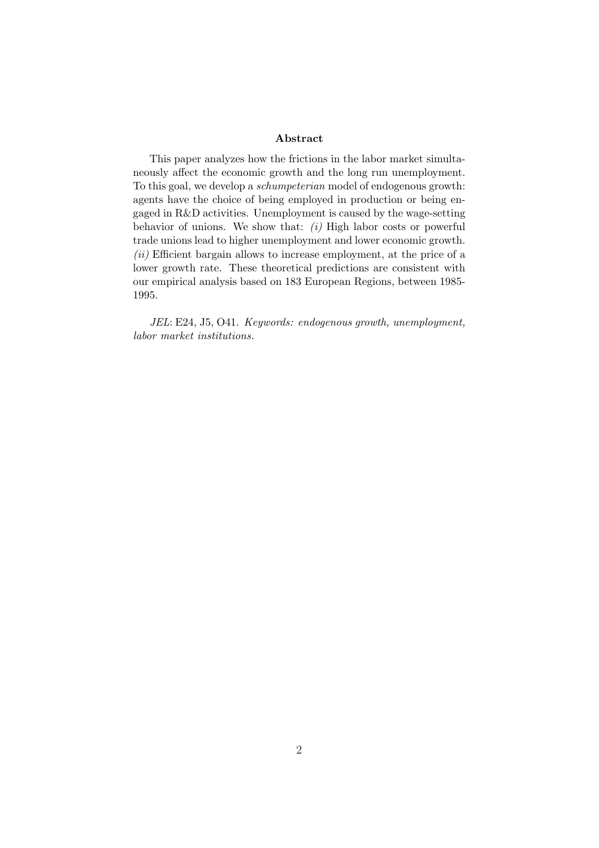#### Abstract

This paper analyzes how the frictions in the labor market simultaneously affect the economic growth and the long run unemployment. To this goal, we develop a schumpeterian model of endogenous growth: agents have the choice of being employed in production or being engaged in R&D activities. Unemployment is caused by the wage-setting behavior of unions. We show that:  $(i)$  High labor costs or powerful trade unions lead to higher unemployment and lower economic growth.  $(ii)$  Efficient bargain allows to increase employment, at the price of a lower growth rate. These theoretical predictions are consistent with our empirical analysis based on 183 European Regions, between 1985- 1995.

JEL: E24, J5, O41. Keywords: endogenous growth, unemployment, labor market institutions.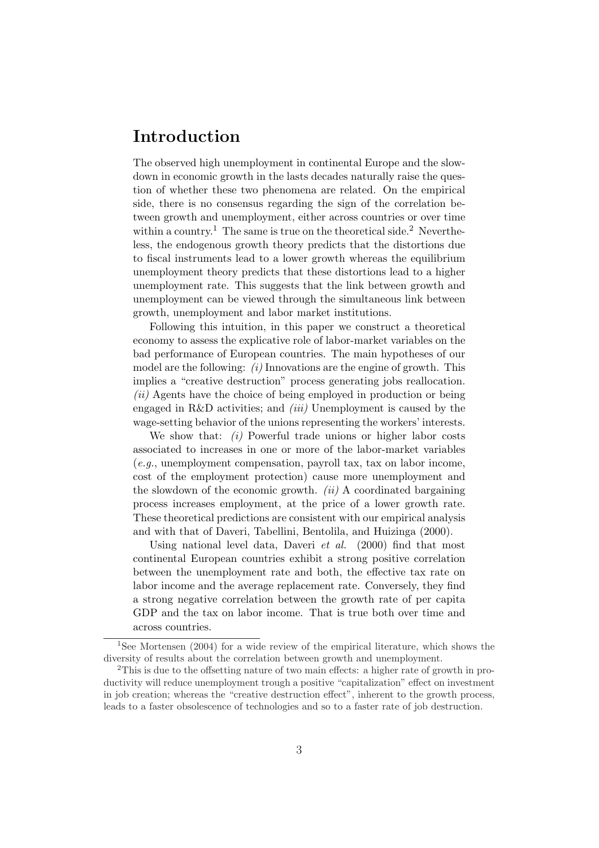# Introduction

The observed high unemployment in continental Europe and the slowdown in economic growth in the lasts decades naturally raise the question of whether these two phenomena are related. On the empirical side, there is no consensus regarding the sign of the correlation between growth and unemployment, either across countries or over time within a country.<sup>1</sup> The same is true on the theoretical side.<sup>2</sup> Nevertheless, the endogenous growth theory predicts that the distortions due to fiscal instruments lead to a lower growth whereas the equilibrium unemployment theory predicts that these distortions lead to a higher unemployment rate. This suggests that the link between growth and unemployment can be viewed through the simultaneous link between growth, unemployment and labor market institutions.

Following this intuition, in this paper we construct a theoretical economy to assess the explicative role of labor-market variables on the bad performance of European countries. The main hypotheses of our model are the following:  $(i)$  Innovations are the engine of growth. This implies a "creative destruction" process generating jobs reallocation. (ii) Agents have the choice of being employed in production or being engaged in R&D activities; and  $(iii)$  Unemployment is caused by the wage-setting behavior of the unions representing the workers' interests.

We show that:  $(i)$  Powerful trade unions or higher labor costs associated to increases in one or more of the labor-market variables  $(e.g.,$  unemployment compensation, payroll tax, tax on labor income, cost of the employment protection) cause more unemployment and the slowdown of the economic growth.  $(ii)$  A coordinated bargaining process increases employment, at the price of a lower growth rate. These theoretical predictions are consistent with our empirical analysis and with that of Daveri, Tabellini, Bentolila, and Huizinga (2000).

Using national level data, Daveri *et al.* (2000) find that most continental European countries exhibit a strong positive correlation between the unemployment rate and both, the effective tax rate on labor income and the average replacement rate. Conversely, they find a strong negative correlation between the growth rate of per capita GDP and the tax on labor income. That is true both over time and across countries.

<sup>1</sup>See Mortensen (2004) for a wide review of the empirical literature, which shows the diversity of results about the correlation between growth and unemployment.

<sup>2</sup>This is due to the offsetting nature of two main effects: a higher rate of growth in productivity will reduce unemployment trough a positive "capitalization" effect on investment in job creation; whereas the "creative destruction effect", inherent to the growth process, leads to a faster obsolescence of technologies and so to a faster rate of job destruction.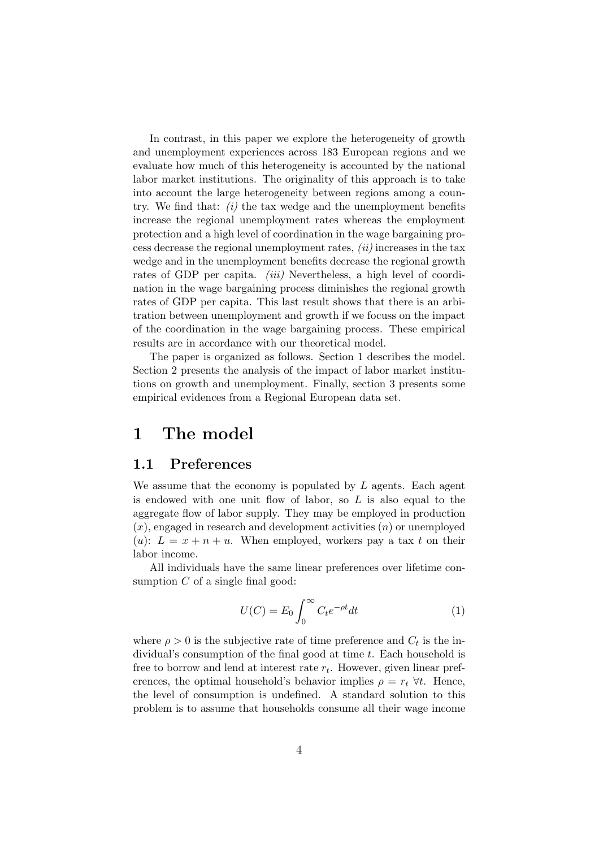In contrast, in this paper we explore the heterogeneity of growth and unemployment experiences across 183 European regions and we evaluate how much of this heterogeneity is accounted by the national labor market institutions. The originality of this approach is to take into account the large heterogeneity between regions among a country. We find that:  $(i)$  the tax wedge and the unemployment benefits increase the regional unemployment rates whereas the employment protection and a high level of coordination in the wage bargaining process decrease the regional unemployment rates,  $(ii)$  increases in the tax wedge and in the unemployment benefits decrease the regional growth rates of GDP per capita. *(iii)* Nevertheless, a high level of coordination in the wage bargaining process diminishes the regional growth rates of GDP per capita. This last result shows that there is an arbitration between unemployment and growth if we focuss on the impact of the coordination in the wage bargaining process. These empirical results are in accordance with our theoretical model.

The paper is organized as follows. Section 1 describes the model. Section 2 presents the analysis of the impact of labor market institutions on growth and unemployment. Finally, section 3 presents some empirical evidences from a Regional European data set.

### 1 The model

#### 1.1 Preferences

We assume that the economy is populated by  $L$  agents. Each agent is endowed with one unit flow of labor, so  $L$  is also equal to the aggregate flow of labor supply. They may be employed in production  $(x)$ , engaged in research and development activities  $(n)$  or unemployed (u):  $L = x + n + u$ . When employed, workers pay a tax t on their labor income.

All individuals have the same linear preferences over lifetime consumption  $C$  of a single final good:

$$
U(C) = E_0 \int_0^\infty C_t e^{-\rho t} dt
$$
 (1)

where  $\rho > 0$  is the subjective rate of time preference and  $C_t$  is the individual's consumption of the final good at time t. Each household is free to borrow and lend at interest rate  $r_t$ . However, given linear preferences, the optimal household's behavior implies  $\rho = r_t \ \forall t$ . Hence, the level of consumption is undefined. A standard solution to this problem is to assume that households consume all their wage income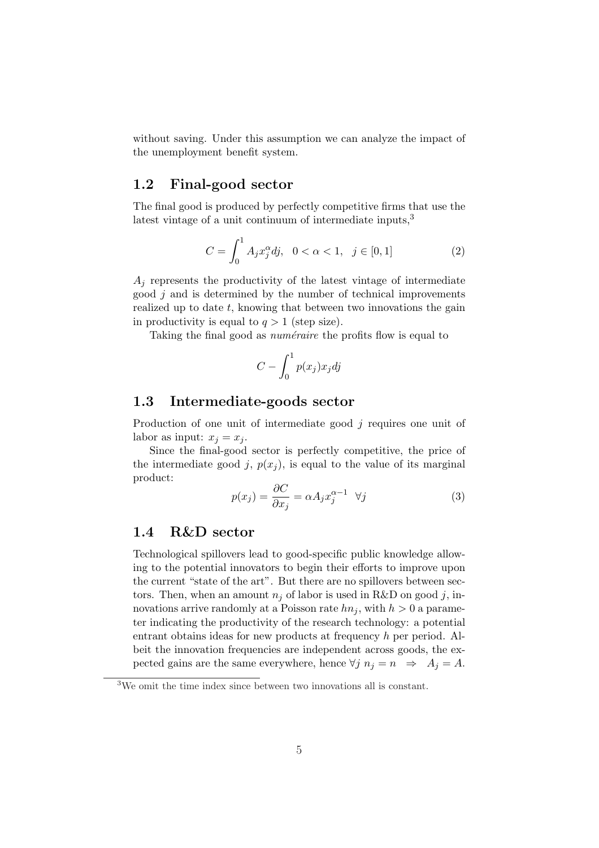without saving. Under this assumption we can analyze the impact of the unemployment benefit system.

### 1.2 Final-good sector

The final good is produced by perfectly competitive firms that use the latest vintage of a unit continuum of intermediate inputs,<sup>3</sup>

$$
C = \int_0^1 A_j x_j^{\alpha} dj, \quad 0 < \alpha < 1, \quad j \in [0, 1]
$$
 (2)

 $A_i$  represents the productivity of the latest vintage of intermediate good  $j$  and is determined by the number of technical improvements realized up to date  $t$ , knowing that between two innovations the gain in productivity is equal to  $q > 1$  (step size).

Taking the final good as *numéraire* the profits flow is equal to

$$
C - \int_0^1 p(x_j) x_j \, dy
$$

#### 1.3 Intermediate-goods sector

Production of one unit of intermediate good j requires one unit of labor as input:  $x_j = x_j$ .

Since the final-good sector is perfectly competitive, the price of the intermediate good j,  $p(x_i)$ , is equal to the value of its marginal product:

$$
p(x_j) = \frac{\partial C}{\partial x_j} = \alpha A_j x_j^{\alpha - 1} \quad \forall j \tag{3}
$$

#### 1.4 R&D sector

Technological spillovers lead to good-specific public knowledge allowing to the potential innovators to begin their efforts to improve upon the current "state of the art". But there are no spillovers between sectors. Then, when an amount  $n_i$  of labor is used in R&D on good j, innovations arrive randomly at a Poisson rate  $hn_i$ , with  $h > 0$  a parameter indicating the productivity of the research technology: a potential entrant obtains ideas for new products at frequency h per period. Albeit the innovation frequencies are independent across goods, the expected gains are the same everywhere, hence  $\forall j \; n_j = n \Rightarrow A_j = A$ .

<sup>3</sup>We omit the time index since between two innovations all is constant.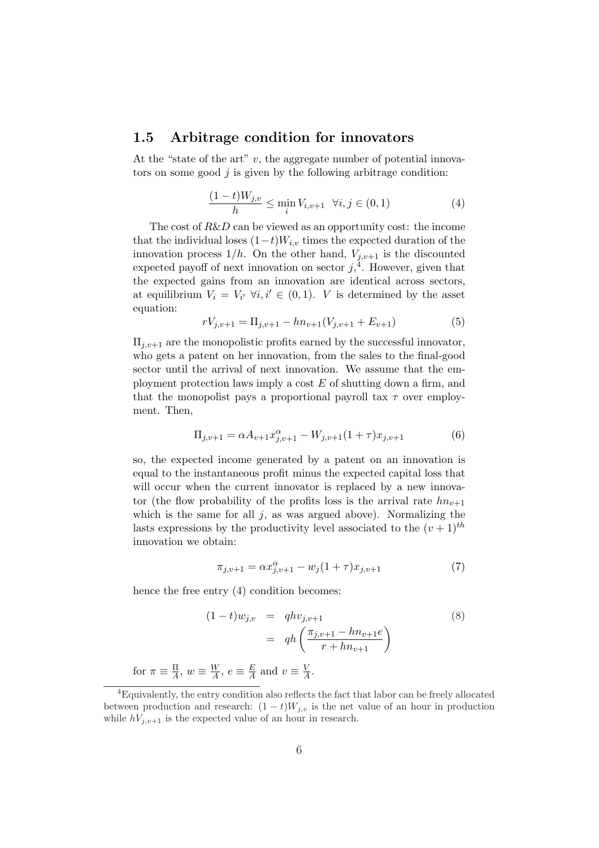#### 1.5 Arbitrage condition for innovators

At the "state of the art"  $v$ , the aggregate number of potential innovators on some good  $i$  is given by the following arbitrage condition:

$$
\frac{(1-t)W_{j,v}}{h} \le \min_i V_{i,v+1} \quad \forall i, j \in (0,1)
$$
 (4)

The cost of  $R\&D$  can be viewed as an opportunity cost: the income that the individual loses  $(1-t)W_{i,v}$  times the expected duration of the innovation process  $1/h$ . On the other hand,  $V_{j,v+1}$  is the discounted expected payoff of next innovation on sector  $j<sub>i</sub><sup>4</sup>$ . However, given that the expected gains from an innovation are identical across sectors, at equilibrium  $V_i = V_{i'} \ \forall i, i' \in (0,1)$ . V is determined by the asset equation:

$$
rV_{j,v+1} = \Pi_{j,v+1} - hn_{v+1}(V_{j,v+1} + E_{v+1})
$$
\n<sup>(5)</sup>

 $\Pi_{j,v+1}$  are the monopolistic profits earned by the successful innovator, who gets a patent on her innovation, from the sales to the final-good sector until the arrival of next innovation. We assume that the employment protection laws imply a cost  $E$  of shutting down a firm, and that the monopolist pays a proportional payroll tax  $\tau$  over employment. Then,

$$
\Pi_{j,v+1} = \alpha A_{v+1} x_{j,v+1}^{\alpha} - W_{j,v+1} (1+\tau) x_{j,v+1}
$$
(6)

so, the expected income generated by a patent on an innovation is equal to the instantaneous profit minus the expected capital loss that will occur when the current innovator is replaced by a new innovator (the flow probability of the profits loss is the arrival rate  $hn_{v+1}$ which is the same for all  $j$ , as was argued above). Normalizing the lasts expressions by the productivity level associated to the  $(v+1)$ <sup>th</sup> innovation we obtain:

$$
\pi_{j,v+1} = \alpha x_{j,v+1}^{\alpha} - w_j (1+\tau) x_{j,v+1}
$$
\n(7)

hence the free entry  $(4)$  condition becomes:

$$
(1-t)w_{j,v} = qhv_{j,v+1}
$$
  
=  $qh\left(\frac{\pi_{j,v+1} - hn_{v+1}e}{r + hn_{v+1}}\right)$  (8)

for  $\pi \equiv \frac{\Pi}{4}$  $\frac{\Pi}{A}$ ,  $w \equiv \frac{W}{A}$  $\frac{W}{A}$ ,  $e \equiv \frac{E}{A}$  $\frac{E}{A}$  and  $v \equiv \frac{V}{A}$  $\frac{V}{A}$ .

<sup>4</sup>Equivalently, the entry condition also reflects the fact that labor can be freely allocated between production and research:  $(1-t)W_{j,v}$  is the net value of an hour in production while  $hV_{j,v+1}$  is the expected value of an hour in research.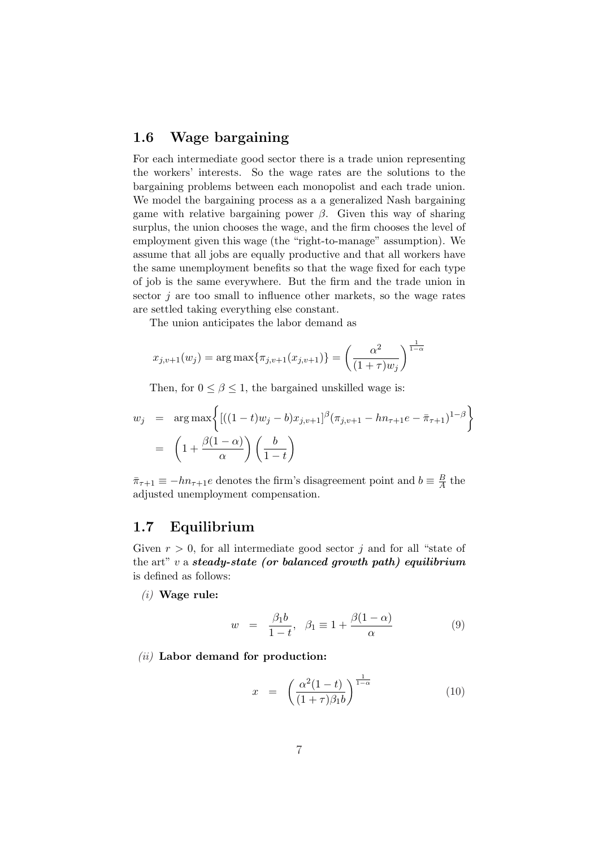### 1.6 Wage bargaining

For each intermediate good sector there is a trade union representing the workers' interests. So the wage rates are the solutions to the bargaining problems between each monopolist and each trade union. We model the bargaining process as a a generalized Nash bargaining game with relative bargaining power  $\beta$ . Given this way of sharing surplus, the union chooses the wage, and the firm chooses the level of employment given this wage (the "right-to-manage" assumption). We assume that all jobs are equally productive and that all workers have the same unemployment benefits so that the wage fixed for each type of job is the same everywhere. But the firm and the trade union in sector  $j$  are too small to influence other markets, so the wage rates are settled taking everything else constant.

The union anticipates the labor demand as

$$
x_{j,v+1}(w_j) = \arg \max \{ \pi_{j,v+1}(x_{j,v+1}) \} = \left(\frac{\alpha^2}{(1+\tau)w_j}\right)^{\frac{1}{1-\alpha}}
$$

Then, for  $0 \le \beta \le 1$ , the bargained unskilled wage is:

$$
w_j = \arg \max \left\{ \left[ ((1-t)w_j - b)x_{j,v+1} \right]^\beta (\pi_{j,v+1} - h n_{\tau+1} e - \bar{\pi}_{\tau+1})^{1-\beta} \right\}
$$
  
=  $\left( 1 + \frac{\beta(1-\alpha)}{\alpha} \right) \left( \frac{b}{1-t} \right)$ 

 $\bar{\pi}_{\tau+1} \equiv -h n_{\tau+1} e$  denotes the firm's disagreement point and  $b \equiv \frac{B}{A}$  $\frac{B}{A}$  the adjusted unemployment compensation.

### 1.7 Equilibrium

Given  $r > 0$ , for all intermediate good sector j and for all "state of the art"  $v$  a steady-state (or balanced growth path) equilibrium is defined as follows:

 $(i)$  Wage rule:

$$
w = \frac{\beta_1 b}{1 - t}, \quad \beta_1 \equiv 1 + \frac{\beta(1 - \alpha)}{\alpha} \tag{9}
$$

#### $(ii)$  Labor demand for production:

$$
x = \left(\frac{\alpha^2(1-t)}{(1+\tau)\beta_1 b}\right)^{\frac{1}{1-\alpha}}
$$
(10)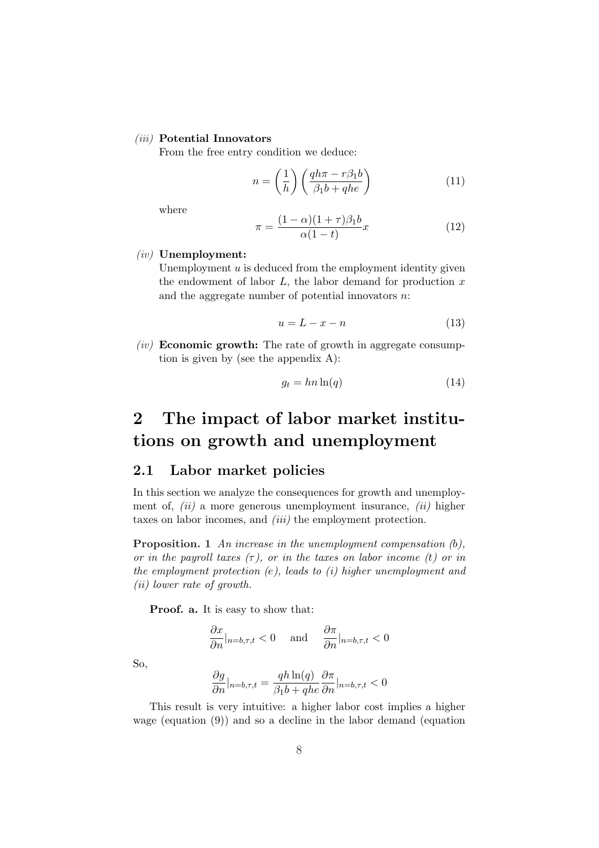#### (iii) Potential Innovators

From the free entry condition we deduce:

$$
n = \left(\frac{1}{h}\right) \left(\frac{qh\pi - r\beta_1 b}{\beta_1 b + qhe}\right) \tag{11}
$$

where

$$
\pi = \frac{(1 - \alpha)(1 + \tau)\beta_1 b}{\alpha(1 - t)} x \tag{12}
$$

#### (iv) Unemployment:

Unemployment  $u$  is deduced from the employment identity given the endowment of labor  $L$ , the labor demand for production  $x$ and the aggregate number of potential innovators  $n$ :

$$
u = L - x - n \tag{13}
$$

 $(iv)$  **Economic growth:** The rate of growth in aggregate consumption is given by (see the appendix A):

$$
g_t = hn \ln(q) \tag{14}
$$

# 2 The impact of labor market institutions on growth and unemployment

### 2.1 Labor market policies

In this section we analyze the consequences for growth and unemployment of,  $(ii)$  a more generous unemployment insurance,  $(ii)$  higher taxes on labor incomes, and *(iii)* the employment protection.

Proposition. 1 An increase in the unemployment compensation  $(b)$ , or in the payroll taxes  $(\tau)$ , or in the taxes on labor income (t) or in the employment protection  $(e)$ , leads to  $(i)$  higher unemployment and (ii) lower rate of growth.

Proof. a. It is easy to show that:

$$
\frac{\partial x}{\partial n}|_{n=b,\tau,t} < 0 \quad \text{and} \quad \frac{\partial \pi}{\partial n}|_{n=b,\tau,t} < 0
$$

So,

$$
\frac{\partial g}{\partial n}|_{n=b,\tau,t} = \frac{qh \ln(q)}{\beta_1 b + q h e} \frac{\partial \pi}{\partial n}|_{n=b,\tau,t} < 0
$$

This result is very intuitive: a higher labor cost implies a higher wage (equation (9)) and so a decline in the labor demand (equation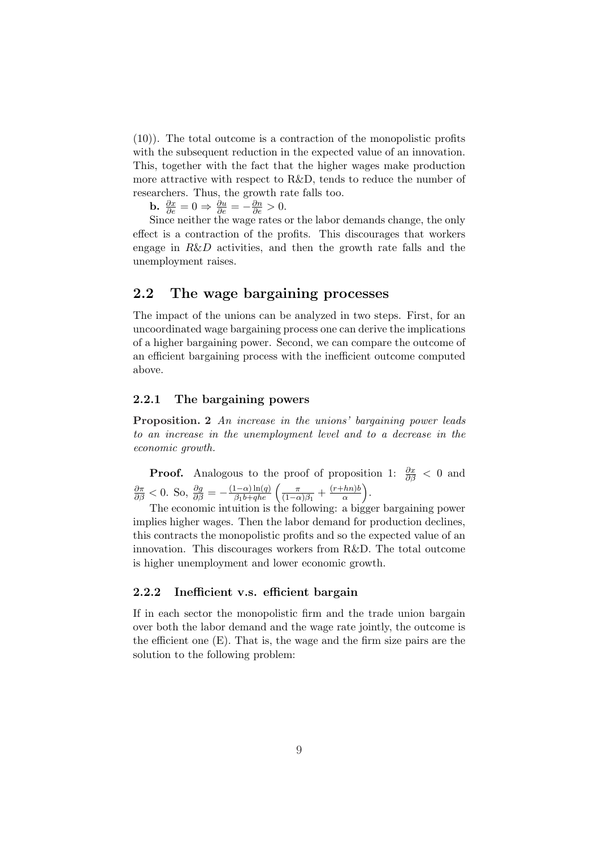(10)). The total outcome is a contraction of the monopolistic profits with the subsequent reduction in the expected value of an innovation. This, together with the fact that the higher wages make production more attractive with respect to R&D, tends to reduce the number of researchers. Thus, the growth rate falls too.

**b.**  $\frac{\partial x}{\partial e} = 0 \Rightarrow \frac{\partial u}{\partial e} = -\frac{\partial n}{\partial e} > 0.$ 

Since neither the wage rates or the labor demands change, the only effect is a contraction of the profits. This discourages that workers engage in  $R&D$  activities, and then the growth rate falls and the unemployment raises.

### 2.2 The wage bargaining processes

The impact of the unions can be analyzed in two steps. First, for an uncoordinated wage bargaining process one can derive the implications of a higher bargaining power. Second, we can compare the outcome of an efficient bargaining process with the inefficient outcome computed above.

#### 2.2.1 The bargaining powers

Proposition. 2 An increase in the unions' bargaining power leads to an increase in the unemployment level and to a decrease in the economic growth.

**Proof.** Analogous to the proof of proposition 1:  $\frac{\partial x}{\partial \beta} < 0$  and  $\frac{\partial \pi}{\partial \beta} < 0$ . So,  $\frac{\partial g}{\partial \beta} = -\frac{(1-\alpha)\ln(q)}{\beta_1 b + q h e}$  $\frac{(1-\alpha)\ln(q)}{\beta_1 b + qhe}$ π  $\frac{\pi}{(1-\alpha)\beta_1}+\frac{(r+hn)b}{\alpha}$ α LU.<br>N .

The economic intuition is the following: a bigger bargaining power implies higher wages. Then the labor demand for production declines, this contracts the monopolistic profits and so the expected value of an innovation. This discourages workers from R&D. The total outcome is higher unemployment and lower economic growth.

#### 2.2.2 Inefficient v.s. efficient bargain

If in each sector the monopolistic firm and the trade union bargain over both the labor demand and the wage rate jointly, the outcome is the efficient one (E). That is, the wage and the firm size pairs are the solution to the following problem: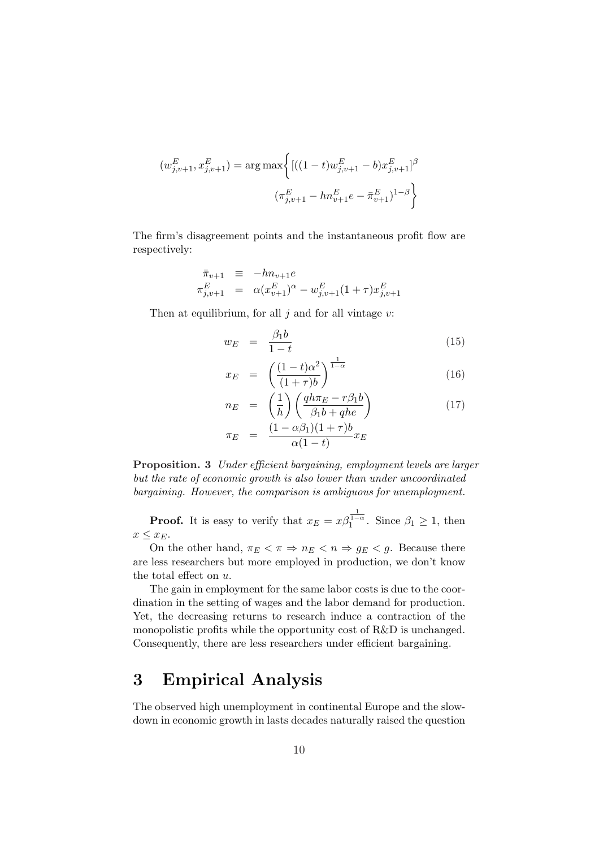$$
(w_{j,v+1}^{E}, x_{j,v+1}^{E}) = \arg \max \left\{ \left[ ((1-t)w_{j,v+1}^{E} - b)x_{j,v+1}^{E} \right]^{\beta} \right\}
$$

$$
(\pi_{j,v+1}^{E} - h n_{v+1}^{E} e - \bar{\pi}_{v+1}^{E})^{1-\beta} \right\}
$$

The firm's disagreement points and the instantaneous profit flow are respectively:

$$
\begin{array}{rcl}\n\bar{\pi}_{v+1} & \equiv & -hn_{v+1}e \\
\pi_{j,v+1}^E & = & \alpha(x_{v+1}^E)^\alpha - w_{j,v+1}^E(1+\tau)x_{j,v+1}^E\n\end{array}
$$

Then at equilibrium, for all  $j$  and for all vintage  $v$ :

$$
w_E = \frac{\beta_1 b}{1 - t} \tag{15}
$$

$$
x_E = \left(\frac{(1-t)\alpha^2}{(1+\tau)b}\right)^{\frac{1}{1-\alpha}}
$$
\n(16)

$$
n_E = \left(\frac{1}{h}\right) \left(\frac{qh\pi_E - r\beta_1 b}{\beta_1 b + qh e}\right)
$$
  
\n
$$
\pi_E = \frac{(1 - \alpha\beta_1)(1 + \tau)b}{\alpha(1 - t)} x_E
$$
\n(17)

Proposition. 3 Under efficient bargaining, employment levels are larger but the rate of economic growth is also lower than under uncoordinated bargaining. However, the comparison is ambiguous for unemployment.

**Proof.** It is easy to verify that  $x_E = x\beta_1^{\frac{1}{1-\alpha}}$ . Since  $\beta_1 \geq 1$ , then  $x \leq x_E$ .

On the other hand,  $\pi_E < \pi \Rightarrow n_E < n \Rightarrow g_E < g$ . Because there are less researchers but more employed in production, we don't know the total effect on u.

The gain in employment for the same labor costs is due to the coordination in the setting of wages and the labor demand for production. Yet, the decreasing returns to research induce a contraction of the monopolistic profits while the opportunity cost of R&D is unchanged. Consequently, there are less researchers under efficient bargaining.

# 3 Empirical Analysis

The observed high unemployment in continental Europe and the slowdown in economic growth in lasts decades naturally raised the question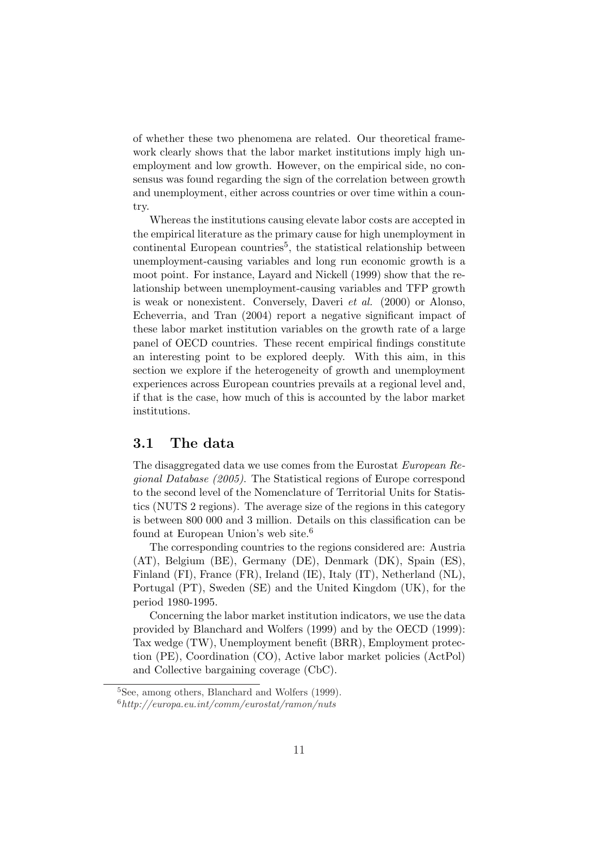of whether these two phenomena are related. Our theoretical framework clearly shows that the labor market institutions imply high unemployment and low growth. However, on the empirical side, no consensus was found regarding the sign of the correlation between growth and unemployment, either across countries or over time within a country.

Whereas the institutions causing elevate labor costs are accepted in the empirical literature as the primary cause for high unemployment in continental European countries<sup>5</sup>, the statistical relationship between unemployment-causing variables and long run economic growth is a moot point. For instance, Layard and Nickell (1999) show that the relationship between unemployment-causing variables and TFP growth is weak or nonexistent. Conversely, Daveri et al. (2000) or Alonso, Echeverria, and Tran (2004) report a negative significant impact of these labor market institution variables on the growth rate of a large panel of OECD countries. These recent empirical findings constitute an interesting point to be explored deeply. With this aim, in this section we explore if the heterogeneity of growth and unemployment experiences across European countries prevails at a regional level and, if that is the case, how much of this is accounted by the labor market institutions.

#### 3.1 The data

The disaggregated data we use comes from the Eurostat European Regional Database (2005). The Statistical regions of Europe correspond to the second level of the Nomenclature of Territorial Units for Statistics (NUTS 2 regions). The average size of the regions in this category is between 800 000 and 3 million. Details on this classification can be found at European Union's web site.<sup>6</sup>

The corresponding countries to the regions considered are: Austria (AT), Belgium (BE), Germany (DE), Denmark (DK), Spain (ES), Finland (FI), France (FR), Ireland (IE), Italy (IT), Netherland (NL), Portugal (PT), Sweden (SE) and the United Kingdom (UK), for the period 1980-1995.

Concerning the labor market institution indicators, we use the data provided by Blanchard and Wolfers (1999) and by the OECD (1999): Tax wedge (TW), Unemployment benefit (BRR), Employment protection (PE), Coordination (CO), Active labor market policies (ActPol) and Collective bargaining coverage (CbC).

<sup>5</sup>See, among others, Blanchard and Wolfers (1999).

 $6$ http://europa.eu.int/comm/eurostat/ramon/nuts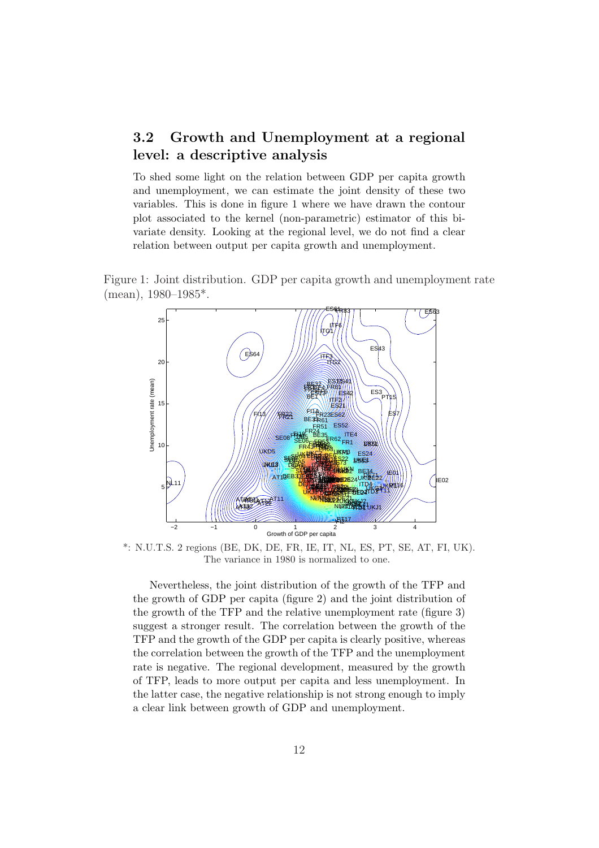### 3.2 Growth and Unemployment at a regional level: a descriptive analysis

To shed some light on the relation between GDP per capita growth and unemployment, we can estimate the joint density of these two variables. This is done in figure 1 where we have drawn the contour plot associated to the kernel (non-parametric) estimator of this bivariate density. Looking at the regional level, we do not find a clear relation between output per capita growth and unemployment.





\*: N.U.T.S. 2 regions (BE, DK, DE, FR, IE, IT, NL, ES, PT, SE, AT, FI, UK). The variance in 1980 is normalized to one.

Nevertheless, the joint distribution of the growth of the TFP and the growth of GDP per capita (figure 2) and the joint distribution of the growth of the TFP and the relative unemployment rate (figure 3) suggest a stronger result. The correlation between the growth of the TFP and the growth of the GDP per capita is clearly positive, whereas the correlation between the growth of the TFP and the unemployment rate is negative. The regional development, measured by the growth of TFP, leads to more output per capita and less unemployment. In the latter case, the negative relationship is not strong enough to imply a clear link between growth of GDP and unemployment.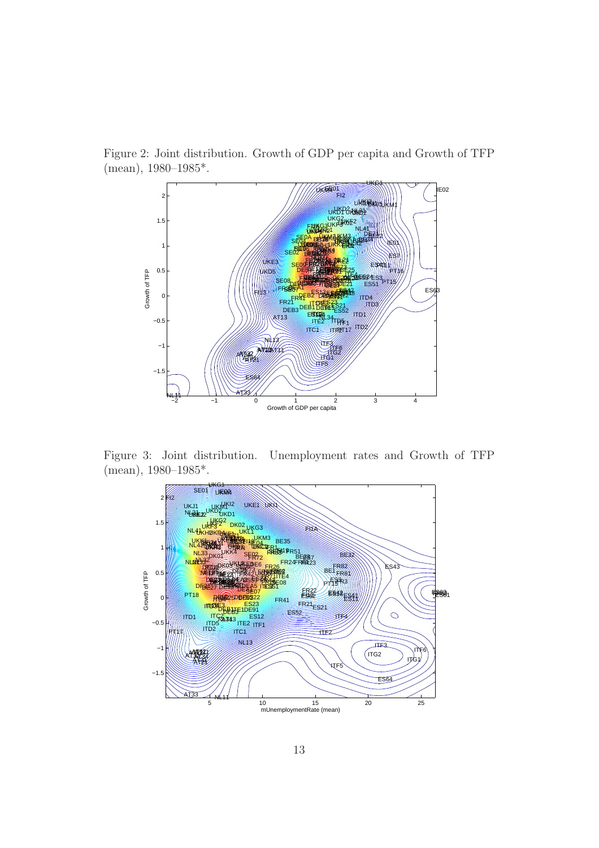

Figure 2: Joint distribution. Growth of GDP per capita and Growth of TFP (mean), 1980–1985\*.

Figure 3: Joint distribution. Unemployment rates and Growth of TFP (mean), 1980–1985\*.

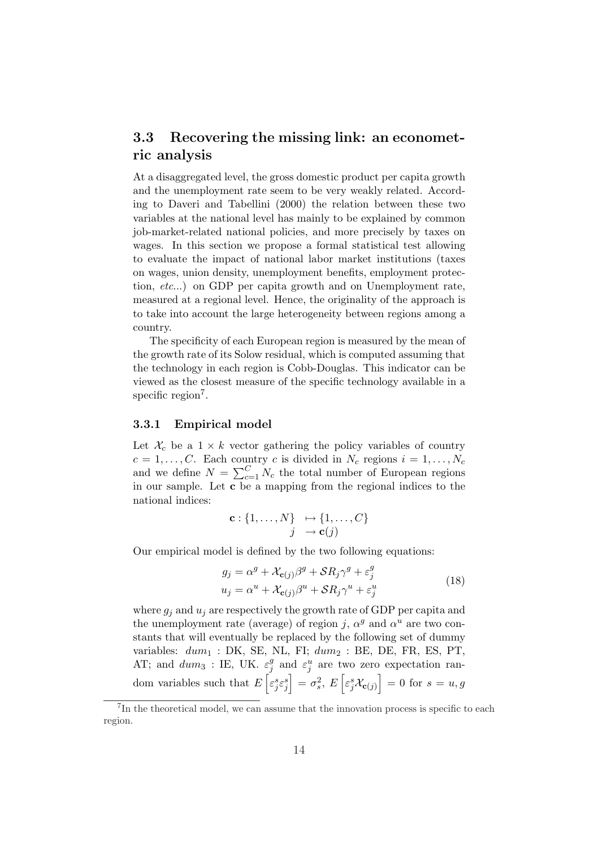### 3.3 Recovering the missing link: an econometric analysis

At a disaggregated level, the gross domestic product per capita growth and the unemployment rate seem to be very weakly related. According to Daveri and Tabellini (2000) the relation between these two variables at the national level has mainly to be explained by common job-market-related national policies, and more precisely by taxes on wages. In this section we propose a formal statistical test allowing to evaluate the impact of national labor market institutions (taxes on wages, union density, unemployment benefits, employment protection, etc...) on GDP per capita growth and on Unemployment rate, measured at a regional level. Hence, the originality of the approach is to take into account the large heterogeneity between regions among a country.

The specificity of each European region is measured by the mean of the growth rate of its Solow residual, which is computed assuming that the technology in each region is Cobb-Douglas. This indicator can be viewed as the closest measure of the specific technology available in a specific region<sup>7</sup>.

#### 3.3.1 Empirical model

Let  $\mathcal{X}_c$  be a  $1 \times k$  vector gathering the policy variables of country  $c = 1, \ldots, C$ . Each country c is divided in  $N_c$  regions  $i = 1, \ldots, N_c$  $c = 1, \ldots, C$ . Each count  $_{c=1}^{C} N_c$  the total number of European regions in our sample. Let c be a mapping from the regional indices to the national indices:

$$
\mathbf{c} : \{1, \ldots, N\} \mapsto \{1, \ldots, C\}
$$

$$
j \rightarrow \mathbf{c}(j)
$$

Our empirical model is defined by the two following equations:

$$
g_j = \alpha^g + \mathcal{X}_{\mathbf{c}(j)}\beta^g + \mathcal{S}R_j\gamma^g + \varepsilon_j^g
$$
  

$$
u_j = \alpha^u + \mathcal{X}_{\mathbf{c}(j)}\beta^u + \mathcal{S}R_j\gamma^u + \varepsilon_j^u
$$
 (18)

where  $g_i$  and  $u_i$  are respectively the growth rate of GDP per capita and the unemployment rate (average) of region j,  $\alpha^g$  and  $\alpha^u$  are two constants that will eventually be replaced by the following set of dummy variables:  $dum_1$ : DK, SE, NL, FI;  $dum_2$ : BE, DE, FR, ES, PT, AT; and  $dum_3$  : IE, UK.  $\varepsilon_i^g$  $\varepsilon_j^g$  and  $\varepsilon_j^u$  are two zero expectation random variables such that  $E\left[\varepsilon_j^s\varepsilon_j^s\right] = \sigma_s^2, E\left[\varepsilon_j^s \mathcal{X}_{\mathbf{c}(j)}\right] = 0$  for  $s = u, g$ 

<sup>&</sup>lt;sup>7</sup>In the theoretical model, we can assume that the innovation process is specific to each region.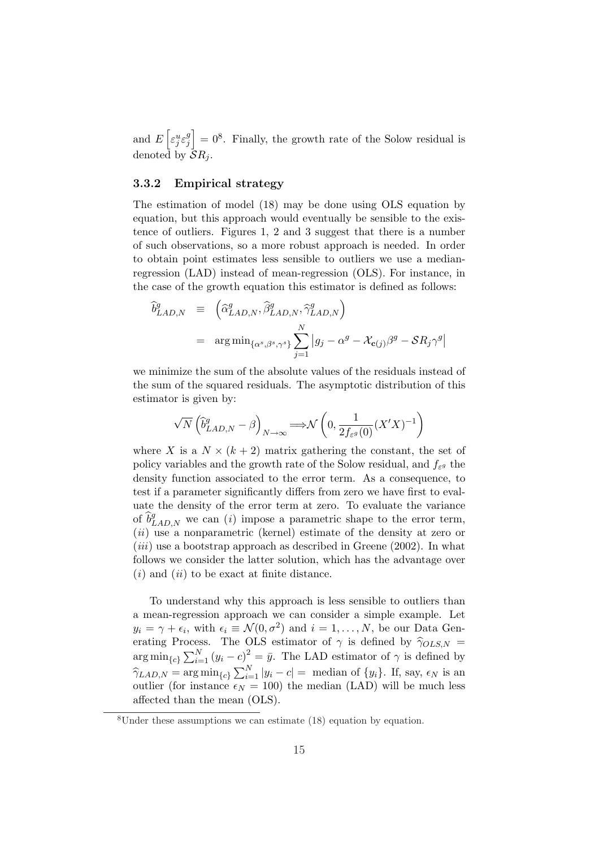and E h  $\varepsilon_j^u \varepsilon_j^g$ j i  $= 0<sup>8</sup>$ . Finally, the growth rate of the Solow residual is denoted by  $\bar{\mathcal{S}}R_i$ .

#### 3.3.2 Empirical strategy

The estimation of model (18) may be done using OLS equation by equation, but this approach would eventually be sensible to the existence of outliers. Figures 1, 2 and 3 suggest that there is a number of such observations, so a more robust approach is needed. In order to obtain point estimates less sensible to outliers we use a medianregression (LAD) instead of mean-regression (OLS). For instance, in the case of the growth equation this estimator is defined as follows:

$$
\widehat{b}_{LAD,N}^g \equiv \left( \widehat{\alpha}_{LAD,N}^g, \widehat{\beta}_{LAD,N}^g, \widehat{\gamma}_{LAD,N}^g \right)
$$
  
= 
$$
\arg \min_{\{\alpha^s, \beta^s, \gamma^s\}} \sum_{j=1}^N |g_j - \alpha^g - \mathcal{X}_{c(j)}\beta^g - SR_j\gamma^g|
$$

we minimize the sum of the absolute values of the residuals instead of the sum of the squared residuals. The asymptotic distribution of this estimator is given by:

$$
\sqrt{N}\left(\widehat{b}_{LAD,N}^g-\beta\right)_{N\to\infty}\Longrightarrow\mathcal{N}\left(0,\frac{1}{2f_{\varepsilon^g}(0)}(X'X)^{-1}\right)
$$

where X is a  $N \times (k+2)$  matrix gathering the constant, the set of policy variables and the growth rate of the Solow residual, and  $f_{\varepsilon}$  the density function associated to the error term. As a consequence, to test if a parameter significantly differs from zero we have first to evaluate the density of the error term at zero. To evaluate the variance of  $\widehat{b}^g_{LAD,N}$  we can (i) impose a parametric shape to the error term,  $(ii)$  use a nonparametric (kernel) estimate of the density at zero or  $(iii)$  use a bootstrap approach as described in Greene (2002). In what follows we consider the latter solution, which has the advantage over  $(i)$  and  $(ii)$  to be exact at finite distance.

To understand why this approach is less sensible to outliers than a mean-regression approach we can consider a simple example. Let  $y_i = \gamma + \epsilon_i$ , with  $\epsilon_i \equiv \mathcal{N}(0, \sigma^2)$  and  $i = 1, \ldots, N$ , be our Data Generating Process. The OLS estimator of  $\gamma$  is defined by  $\hat{\gamma}_{OLS,N}$  =  $\arg\min_{\{c\}} \sum_{i=1}^{N}$  $\sum_{i=1}^{N} (y_i - c)^2 = \bar{y}$ . The LAD estimator of  $\gamma$  is defined by  $\hat{\gamma}_{LAD,N} = \arg\min_{\{c\}} \sum_{i=1}^{N}$  $\sum_{i=1}^{N} |y_i - c| =$  median of  $\{y_i\}$ . If, say,  $\epsilon_N$  is an outlier (for instance  $\epsilon_N = 100$ ) the median (LAD) will be much less affected than the mean (OLS).

<sup>8</sup>Under these assumptions we can estimate (18) equation by equation.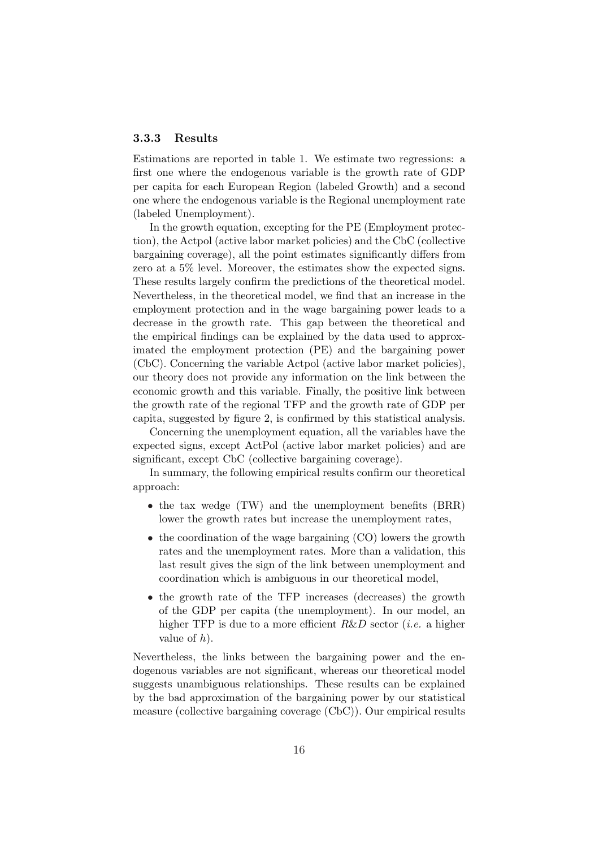#### 3.3.3 Results

Estimations are reported in table 1. We estimate two regressions: a first one where the endogenous variable is the growth rate of GDP per capita for each European Region (labeled Growth) and a second one where the endogenous variable is the Regional unemployment rate (labeled Unemployment).

In the growth equation, excepting for the PE (Employment protection), the Actpol (active labor market policies) and the CbC (collective bargaining coverage), all the point estimates significantly differs from zero at a 5% level. Moreover, the estimates show the expected signs. These results largely confirm the predictions of the theoretical model. Nevertheless, in the theoretical model, we find that an increase in the employment protection and in the wage bargaining power leads to a decrease in the growth rate. This gap between the theoretical and the empirical findings can be explained by the data used to approximated the employment protection (PE) and the bargaining power (CbC). Concerning the variable Actpol (active labor market policies), our theory does not provide any information on the link between the economic growth and this variable. Finally, the positive link between the growth rate of the regional TFP and the growth rate of GDP per capita, suggested by figure 2, is confirmed by this statistical analysis.

Concerning the unemployment equation, all the variables have the expected signs, except ActPol (active labor market policies) and are significant, except CbC (collective bargaining coverage).

In summary, the following empirical results confirm our theoretical approach:

- the tax wedge (TW) and the unemployment benefits (BRR) lower the growth rates but increase the unemployment rates,
- the coordination of the wage bargaining (CO) lowers the growth rates and the unemployment rates. More than a validation, this last result gives the sign of the link between unemployment and coordination which is ambiguous in our theoretical model,
- the growth rate of the TFP increases (decreases) the growth of the GDP per capita (the unemployment). In our model, an higher TFP is due to a more efficient  $R&D$  sector (*i.e.* a higher value of  $h$ ).

Nevertheless, the links between the bargaining power and the endogenous variables are not significant, whereas our theoretical model suggests unambiguous relationships. These results can be explained by the bad approximation of the bargaining power by our statistical measure (collective bargaining coverage (CbC)). Our empirical results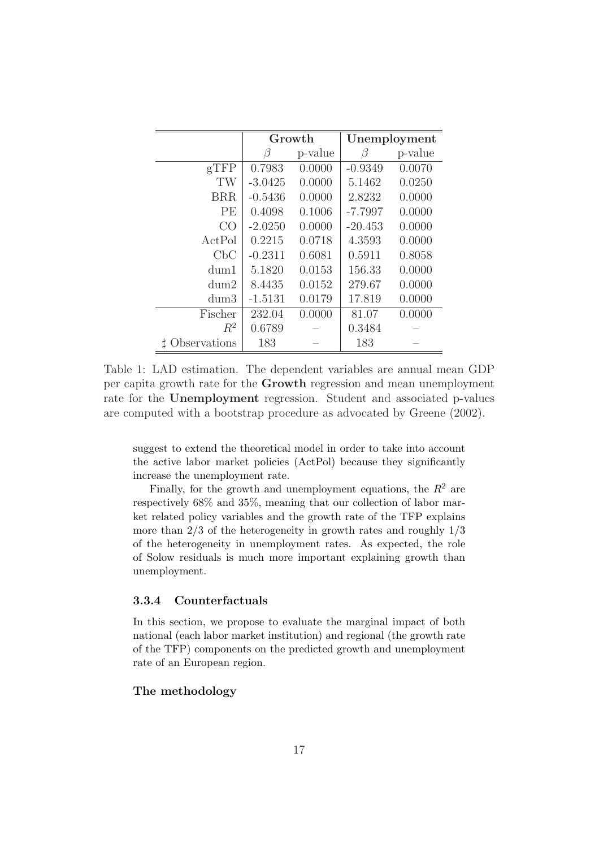|                  | Growth    |         | Unemployment |         |
|------------------|-----------|---------|--------------|---------|
|                  | Β         | p-value | B            | p-value |
| $g$ TFP          | 0.7983    | 0.0000  | $-0.9349$    | 0.0070  |
| TW               | $-3.0425$ | 0.0000  | 5.1462       | 0.0250  |
| <b>BRR</b>       | $-0.5436$ | 0.0000  | 2.8232       | 0.0000  |
| PE               | 0.4098    | 0.1006  | $-7.7997$    | 0.0000  |
| CO               | $-2.0250$ | 0.0000  | $-20.453$    | 0.0000  |
| ActPol           | 0.2215    | 0.0718  | 4.3593       | 0.0000  |
| C <sub>b</sub> C | $-0.2311$ | 0.6081  | 0.5911       | 0.8058  |
| dum1             | 5.1820    | 0.0153  | 156.33       | 0.0000  |
| dum2             | 8.4435    | 0.0152  | 279.67       | 0.0000  |
| dum3             | $-1.5131$ | 0.0179  | 17.819       | 0.0000  |
| Fischer          | 232.04    | 0.0000  | 81.07        | 0.0000  |
| $R^2$            | 0.6789    |         | 0.3484       |         |
| bservations      | 183       |         | 183          |         |

Table 1: LAD estimation. The dependent variables are annual mean GDP per capita growth rate for the Growth regression and mean unemployment rate for the Unemployment regression. Student and associated p-values are computed with a bootstrap procedure as advocated by Greene (2002).

suggest to extend the theoretical model in order to take into account the active labor market policies (ActPol) because they significantly increase the unemployment rate.

Finally, for the growth and unemployment equations, the  $R^2$  are respectively 68% and 35%, meaning that our collection of labor market related policy variables and the growth rate of the TFP explains more than  $2/3$  of the heterogeneity in growth rates and roughly  $1/3$ of the heterogeneity in unemployment rates. As expected, the role of Solow residuals is much more important explaining growth than unemployment.

#### 3.3.4 Counterfactuals

In this section, we propose to evaluate the marginal impact of both national (each labor market institution) and regional (the growth rate of the TFP) components on the predicted growth and unemployment rate of an European region.

#### The methodology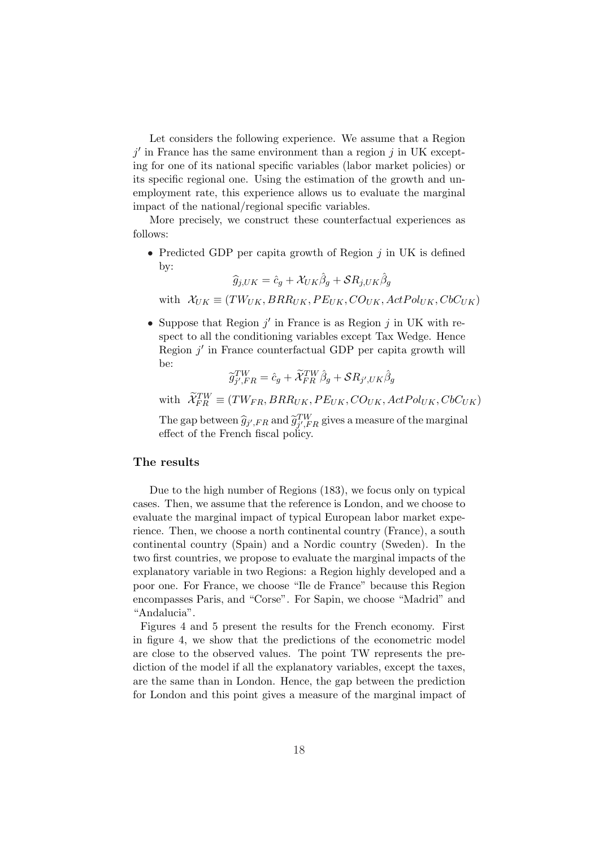Let considers the following experience. We assume that a Region  $j'$  in France has the same environment than a region  $j$  in UK excepting for one of its national specific variables (labor market policies) or its specific regional one. Using the estimation of the growth and unemployment rate, this experience allows us to evaluate the marginal impact of the national/regional specific variables.

More precisely, we construct these counterfactual experiences as follows:

• Predicted GDP per capita growth of Region  $j$  in UK is defined by:

$$
\widehat{g}_{j,UK} = \widehat{c}_g + \mathcal{X}_{UK}\widehat{\beta}_g + \mathcal{S}R_{j,UK}\widehat{\beta}_g
$$

with  $\mathcal{X}_{UK} \equiv (TW_{UK}, BR_{UK}, PE_{UK}, CO_{UK}, ActPol_{UK}, CbC_{UK})$ 

• Suppose that Region  $j'$  in France is as Region  $j$  in UK with respect to all the conditioning variables except Tax Wedge. Hence Region  $j'$  in France counterfactual GDP per capita growth will be:

$$
\widetilde{g}^{TW}_{j',FR} = \hat{c}_g + \widetilde{\mathcal{X}}^{TW}_{FR} \hat{\beta}_g + \mathcal{S} R_{j',UK} \hat{\beta}_g
$$

with  $\widetilde{X}_{FR}^{TW} \equiv (T W_{FR}, BR R_{UK}, PE_{UK}, CO_{UK}, ActPol_{UK}, CbC_{UK})$ 

The gap between  $\widehat{g}_{j',FR}$  and  $\widetilde{g}_{j',FR}^{TW}$  gives a measure of the marginal effect of the French fiscal policy.

#### The results

Due to the high number of Regions (183), we focus only on typical cases. Then, we assume that the reference is London, and we choose to evaluate the marginal impact of typical European labor market experience. Then, we choose a north continental country (France), a south continental country (Spain) and a Nordic country (Sweden). In the two first countries, we propose to evaluate the marginal impacts of the explanatory variable in two Regions: a Region highly developed and a poor one. For France, we choose "Ile de France" because this Region encompasses Paris, and "Corse". For Sapin, we choose "Madrid" and "Andalucia".

Figures 4 and 5 present the results for the French economy. First in figure 4, we show that the predictions of the econometric model are close to the observed values. The point TW represents the prediction of the model if all the explanatory variables, except the taxes, are the same than in London. Hence, the gap between the prediction for London and this point gives a measure of the marginal impact of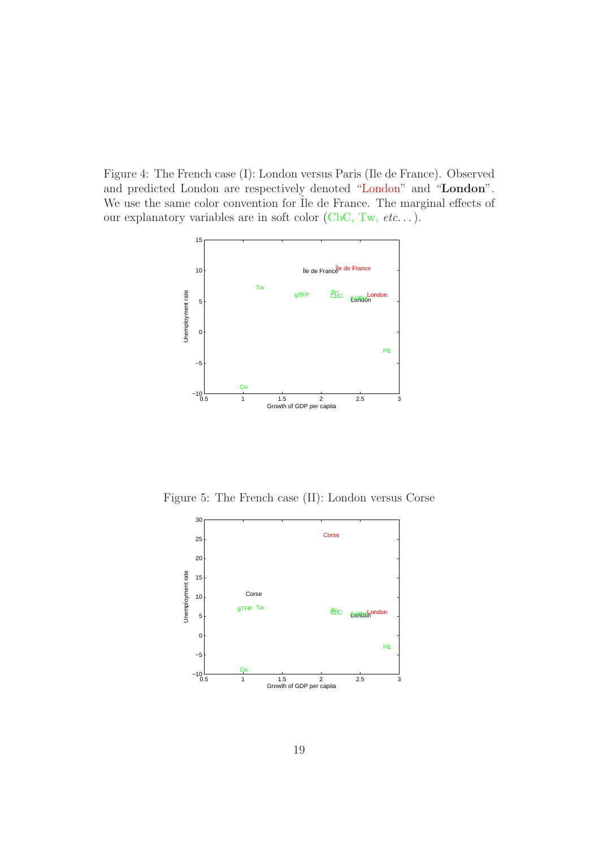Figure 4: The French case (I): London versus Paris (Ile de France). Observed and predicted London are respectively denoted "London" and "London". We use the same color convention for  $\overline{I}$ le de France. The marginal effects of our explanatory variables are in soft color (CbC, Tw,  $etc.$ ..).



Figure 5: The French case (II): London versus Corse

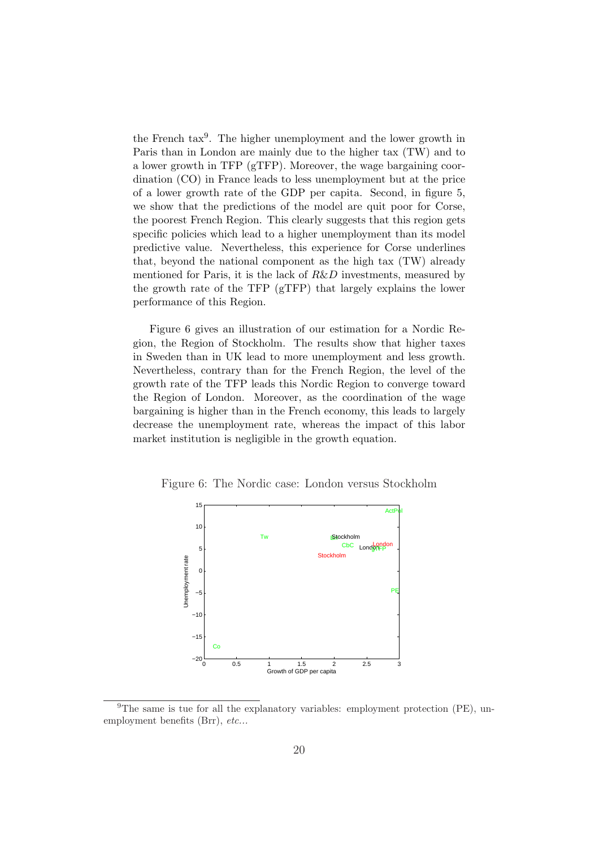the French  $\text{tax}^9$ . The higher unemployment and the lower growth in Paris than in London are mainly due to the higher tax (TW) and to a lower growth in TFP (gTFP). Moreover, the wage bargaining coordination (CO) in France leads to less unemployment but at the price of a lower growth rate of the GDP per capita. Second, in figure 5, we show that the predictions of the model are quit poor for Corse, the poorest French Region. This clearly suggests that this region gets specific policies which lead to a higher unemployment than its model predictive value. Nevertheless, this experience for Corse underlines that, beyond the national component as the high tax (TW) already mentioned for Paris, it is the lack of R&D investments, measured by the growth rate of the TFP (gTFP) that largely explains the lower performance of this Region.

Figure 6 gives an illustration of our estimation for a Nordic Region, the Region of Stockholm. The results show that higher taxes in Sweden than in UK lead to more unemployment and less growth. Nevertheless, contrary than for the French Region, the level of the growth rate of the TFP leads this Nordic Region to converge toward the Region of London. Moreover, as the coordination of the wage bargaining is higher than in the French economy, this leads to largely decrease the unemployment rate, whereas the impact of this labor market institution is negligible in the growth equation.

Figure 6: The Nordic case: London versus Stockholm



<sup>9</sup>The same is tue for all the explanatory variables: employment protection (PE), unemployment benefits (Brr), etc...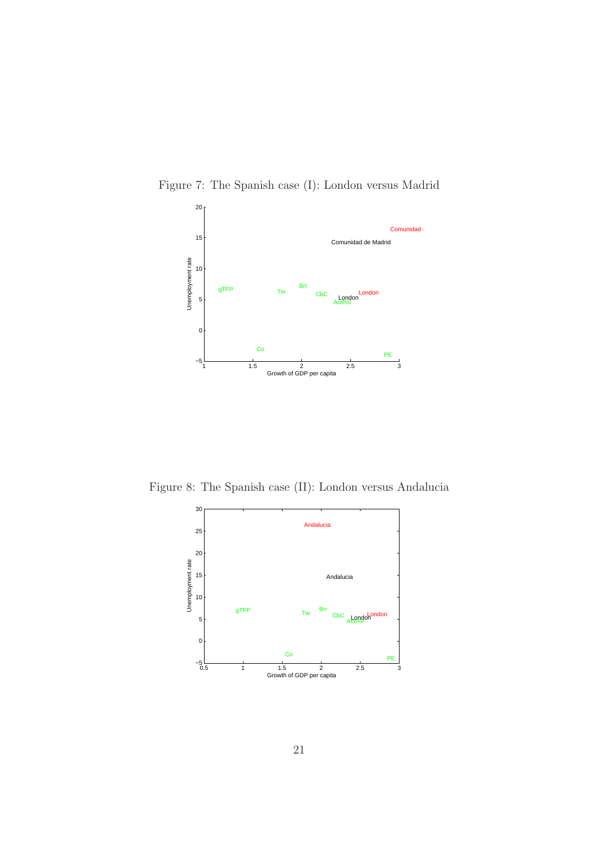



Figure 8: The Spanish case (II): London versus Andalucia

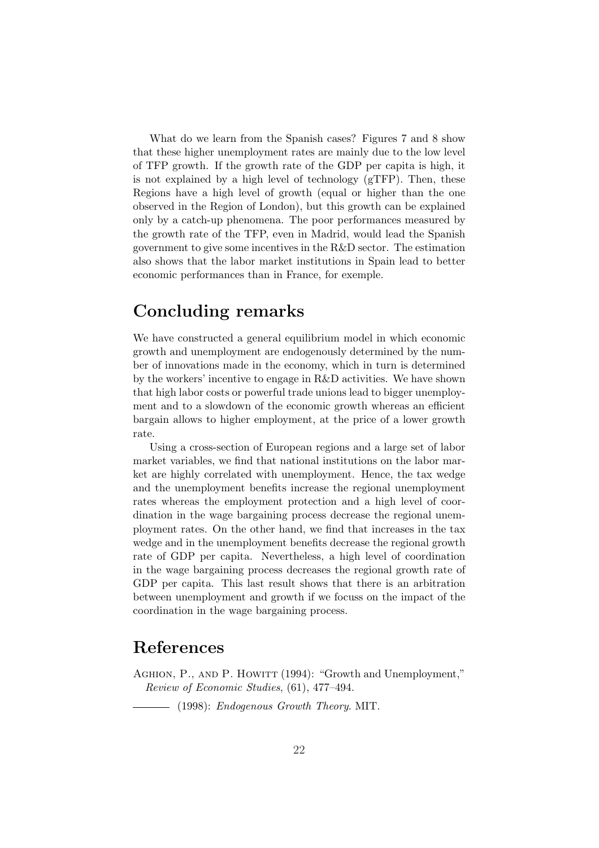What do we learn from the Spanish cases? Figures 7 and 8 show that these higher unemployment rates are mainly due to the low level of TFP growth. If the growth rate of the GDP per capita is high, it is not explained by a high level of technology (gTFP). Then, these Regions have a high level of growth (equal or higher than the one observed in the Region of London), but this growth can be explained only by a catch-up phenomena. The poor performances measured by the growth rate of the TFP, even in Madrid, would lead the Spanish government to give some incentives in the R&D sector. The estimation also shows that the labor market institutions in Spain lead to better economic performances than in France, for exemple.

# Concluding remarks

We have constructed a general equilibrium model in which economic growth and unemployment are endogenously determined by the number of innovations made in the economy, which in turn is determined by the workers' incentive to engage in R&D activities. We have shown that high labor costs or powerful trade unions lead to bigger unemployment and to a slowdown of the economic growth whereas an efficient bargain allows to higher employment, at the price of a lower growth rate.

Using a cross-section of European regions and a large set of labor market variables, we find that national institutions on the labor market are highly correlated with unemployment. Hence, the tax wedge and the unemployment benefits increase the regional unemployment rates whereas the employment protection and a high level of coordination in the wage bargaining process decrease the regional unemployment rates. On the other hand, we find that increases in the tax wedge and in the unemployment benefits decrease the regional growth rate of GDP per capita. Nevertheless, a high level of coordination in the wage bargaining process decreases the regional growth rate of GDP per capita. This last result shows that there is an arbitration between unemployment and growth if we focuss on the impact of the coordination in the wage bargaining process.

### References

AGHION, P., AND P. HOWITT (1994): "Growth and Unemployment," Review of Economic Studies, (61), 477–494.

 $-$  (1998): Endogenous Growth Theory. MIT.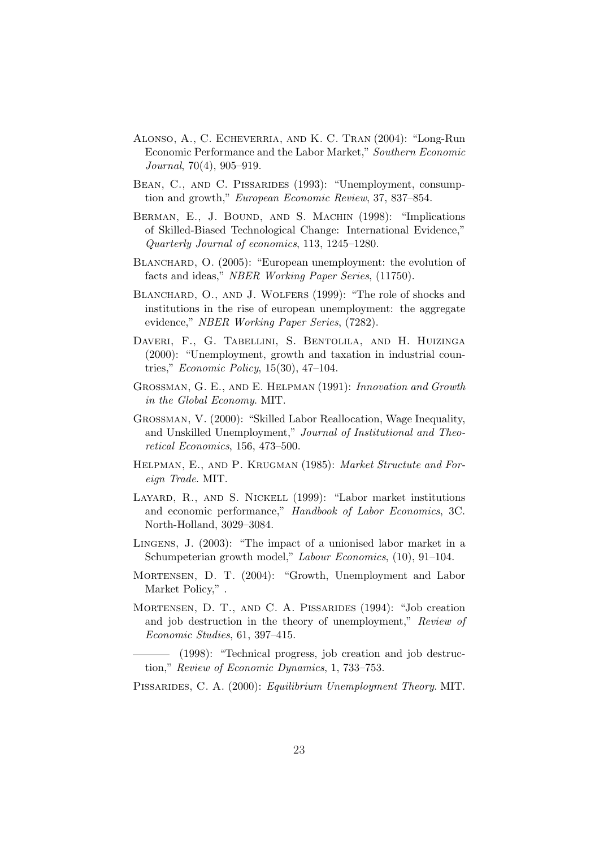- Alonso, A., C. Echeverria, and K. C. Tran (2004): "Long-Run Economic Performance and the Labor Market," Southern Economic Journal, 70(4), 905–919.
- BEAN, C., AND C. PISSARIDES (1993): "Unemployment, consumption and growth," European Economic Review, 37, 837–854.
- BERMAN, E., J. BOUND, AND S. MACHIN (1998): "Implications of Skilled-Biased Technological Change: International Evidence," Quarterly Journal of economics, 113, 1245–1280.
- BLANCHARD, O. (2005): "European unemployment: the evolution of facts and ideas," NBER Working Paper Series, (11750).
- BLANCHARD, O., AND J. WOLFERS (1999): "The role of shocks and institutions in the rise of european unemployment: the aggregate evidence," NBER Working Paper Series, (7282).
- Daveri, F., G. Tabellini, S. Bentolila, and H. Huizinga (2000): "Unemployment, growth and taxation in industrial countries," Economic Policy, 15(30), 47–104.
- Grossman, G. E., and E. Helpman (1991): Innovation and Growth in the Global Economy. MIT.
- Grossman, V. (2000): "Skilled Labor Reallocation, Wage Inequality, and Unskilled Unemployment," Journal of Institutional and Theoretical Economics, 156, 473–500.
- HELPMAN, E., AND P. KRUGMAN (1985): Market Structute and Foreign Trade. MIT.
- Layard, R., and S. Nickell (1999): "Labor market institutions and economic performance," Handbook of Labor Economics, 3C. North-Holland, 3029–3084.
- Lingens, J. (2003): "The impact of a unionised labor market in a Schumpeterian growth model," Labour Economics, (10), 91–104.
- MORTENSEN, D. T. (2004): "Growth, Unemployment and Labor Market Policy,".
- Mortensen, D. T., and C. A. Pissarides (1994): "Job creation and job destruction in the theory of unemployment," Review of Economic Studies, 61, 397–415.

(1998): "Technical progress, job creation and job destruction," Review of Economic Dynamics, 1, 733–753.

PISSARIDES, C. A. (2000): Equilibrium Unemployment Theory. MIT.